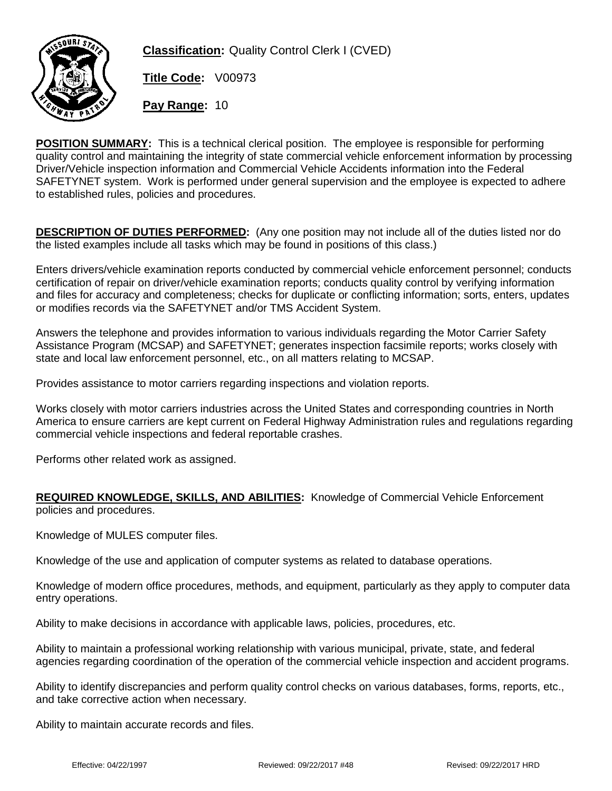

**Classification:** Quality Control Clerk I (CVED)

**Title Code:** V00973

**Pay Range:** 10

**POSITION SUMMARY:** This is a technical clerical position. The employee is responsible for performing quality control and maintaining the integrity of state commercial vehicle enforcement information by processing Driver/Vehicle inspection information and Commercial Vehicle Accidents information into the Federal SAFETYNET system. Work is performed under general supervision and the employee is expected to adhere to established rules, policies and procedures.

**DESCRIPTION OF DUTIES PERFORMED:** (Any one position may not include all of the duties listed nor do the listed examples include all tasks which may be found in positions of this class.)

Enters drivers/vehicle examination reports conducted by commercial vehicle enforcement personnel; conducts certification of repair on driver/vehicle examination reports; conducts quality control by verifying information and files for accuracy and completeness; checks for duplicate or conflicting information; sorts, enters, updates or modifies records via the SAFETYNET and/or TMS Accident System.

Answers the telephone and provides information to various individuals regarding the Motor Carrier Safety Assistance Program (MCSAP) and SAFETYNET; generates inspection facsimile reports; works closely with state and local law enforcement personnel, etc., on all matters relating to MCSAP.

Provides assistance to motor carriers regarding inspections and violation reports.

Works closely with motor carriers industries across the United States and corresponding countries in North America to ensure carriers are kept current on Federal Highway Administration rules and regulations regarding commercial vehicle inspections and federal reportable crashes.

Performs other related work as assigned.

## **REQUIRED KNOWLEDGE, SKILLS, AND ABILITIES:** Knowledge of Commercial Vehicle Enforcement policies and procedures.

Knowledge of MULES computer files.

Knowledge of the use and application of computer systems as related to database operations.

Knowledge of modern office procedures, methods, and equipment, particularly as they apply to computer data entry operations.

Ability to make decisions in accordance with applicable laws, policies, procedures, etc.

Ability to maintain a professional working relationship with various municipal, private, state, and federal agencies regarding coordination of the operation of the commercial vehicle inspection and accident programs.

Ability to identify discrepancies and perform quality control checks on various databases, forms, reports, etc., and take corrective action when necessary.

Ability to maintain accurate records and files.